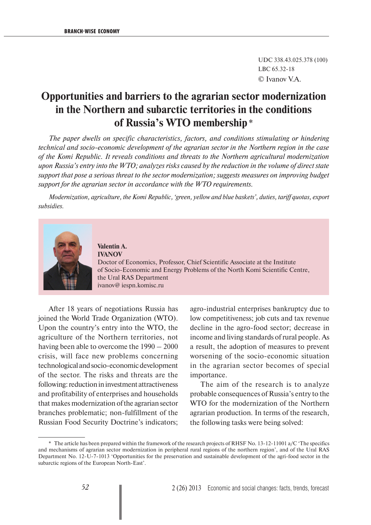UDC 338.43.025.378 (100) LBC 65.32-18 © Ivanov V.A.

## **Opportunities and barriers to the agrarian sector modernization in the Northern and subarctic territories in the conditions of Russia's WTO membership** \*

*The paper dwells on specific characteristics, factors, and conditions stimulating or hindering technical and socio-economic development of the agrarian sector in the Northern region in the case of the Komi Republic. It reveals conditions and threats to the Northern agricultural modernization upon Russia's entry into the WTO; analyzes risks caused by the reduction in the volume of direct state support that pose a serious threat to the sector modernization; suggests measures on improving budget support for the agrarian sector in accordance with the WTO requirements.*

*Modernization, agriculture, the Komi Republic, 'green, yellow and blue baskets', duties, tariff quotas, export subsidies.*



**Valentin A. IVANOV** Doctor of Economics, Professor, Chief Scientific Associate at the Institute of Socio-Economic and Energy Problems of the North Komi Scientific Centre, the Ural RAS Department ivanov@ iespn.komisc.ru

After 18 years of negotiations Russia has joined the World Trade Organization (WTO). Upon the country's entry into the WTO, the agriculture of the Northern territories, not having been able to overcome the 1990 – 2000 crisis, will face new problems concerning technological and socio-economic development of the sector. The risks and threats are the following: reduction in investment attractiveness and profitability of enterprises and households that makes modernization of the agrarian sector branches problematic; non-fulfillment of the Russian Food Security Doctrine's indicators;

agro-industrial enterprises bankruptcy due to low competitiveness; job cuts and tax revenue decline in the agro-food sector; decrease in income and living standards of rural people. As a result, the adoption of measures to prevent worsening of the socio-economic situation in the agrarian sector becomes of special importance.

The aim of the research is to analyze probable consequences of Russia's entry to the WTO for the modernization of the Northern agrarian production. In terms of the research, the following tasks were being solved:

<sup>\*</sup> The article has been prepared within the framework of the research projects of RHSF No. 13-12-11001 a/C 'The specifics and mechanisms of agrarian sector modernization in peripheral rural regions of the northern region', and of the Ural RAS Department No. 12-U-7-1013 'Opportunities for the preservation and sustainable development of the agri-food sector in the subarctic regions of the European North-East'.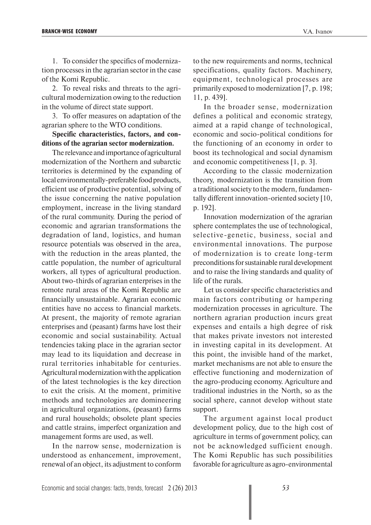1. To consider the specifics of modernization processes in the agrarian sector in the case of the Komi Republic.

2. To reveal risks and threats to the agricultural modernization owing to the reduction in the volume of direct state support.

3. To offer measures on adaptation of the agrarian sphere to the WTO conditions.

**Specific characteristics, factors, and conditions of the agrarian sector modernization.**

The relevance and importance of agricultural modernization of the Northern and subarctic territories is determined by the expanding of local environmentally-preferable food products, efficient use of productive potential, solving of the issue concerning the native population employment, increase in the living standard of the rural community. During the period of economic and agrarian transformations the degradation of land, logistics, and human resource potentials was observed in the area, with the reduction in the areas planted, the cattle population, the number of agricultural workers, all types of agricultural production. About two-thirds of agrarian enterprises in the remote rural areas of the Komi Republic are financially unsustainable. Agrarian economic entities have no access to financial markets. At present, the majority of remote agrarian enterprises and (peasant) farms have lost their economic and social sustainability. Actual tendencies taking place in the agrarian sector may lead to its liquidation and decrease in rural territories inhabitable for centuries. Agricultural modernization with the application of the latest technologies is the key direction to exit the crisis. At the moment, primitive methods and technologies are domineering in agricultural organizations, (peasant) farms and rural households; obsolete plant species and cattle strains, imperfect organization and management forms are used, as well.

In the narrow sense, modernization is understood as enhancement, improvement, renewal of an object, its adjustment to conform

to the new requirements and norms, technical specifications, quality factors. Machinery, equipment, technological processes are primarily exposed to modernization [7, p. 198; 11, p. 439].

In the broader sense, modernization defines a political and economic strategy, aimed at a rapid change of technological, economic and socio-political conditions for the functioning of an economy in order to boost its technological and social dynamism and economic competitiveness [1, p. 3].

According to the classic modernization theory, modernization is the transition from a traditional society to the modern, fundamentally different innovation-oriented society [10, p. 192].

Innovation modernization of the agrarian sphere contemplates the use of technological, selective-genetic, business, social and environmental innovations. The purpose of modernization is to create long-term preconditions for sustainable rural development and to raise the living standards and quality of life of the rurals.

Let us consider specific characteristics and main factors contributing or hampering modernization processes in agriculture. The northern agrarian production incurs great expenses and entails a high degree of risk that makes private investors not interested in investing capital in its development. At this point, the invisible hand of the market, market mechanisms are not able to ensure the effective functioning and modernization of the agro-producing economy. Agriculture and traditional industries in the North, so as the social sphere, cannot develop without state support.

The argument against local product development policy, due to the high cost of agriculture in terms of government policy, can not be acknowledged sufficient enough. The Komi Republic has such possibilities favorable for agriculture as agro-environmental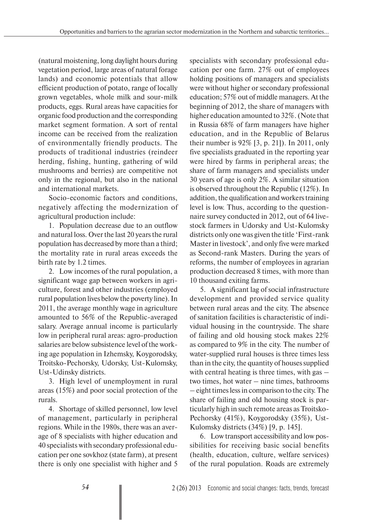(natural moistening, long daylight hours during vegetation period, large areas of natural forage lands) and economic potentials that allow efficient production of potato, range of locally grown vegetables, whole milk and sour-milk products, eggs. Rural areas have capacities for organic food production and the corresponding market segment formation. A sort of rental income can be received from the realization of environmentally friendly products. The products of traditional industries (reindeer herding, fishing, hunting, gathering of wild mushrooms and berries) are competitive not only in the regional, but also in the national and international markets.

Socio-economic factors and conditions, negatively affecting the modernization of agricultural production include:

1. Population decrease due to an outflow and natural loss. Over the last 20 years the rural population has decreased by more than a third; the mortality rate in rural areas exceeds the birth rate by 1.2 times.

2. Low incomes of the rural population, a significant wage gap between workers in agriculture, forest and other industries (employed rural population lives below the poverty line). In 2011, the average monthly wage in agriculture amounted to 56% of the Republic-averaged salary. Average annual income is particularly low in peripheral rural areas: agro-production salaries are below subsistence level of the working age population in Izhemsky, Koygorodsky, Troitsko-Pechorsky, Udorsky, Ust-Kulomsky, Ust-Udinsky districts.

3. High level of unemployment in rural areas (15%) and poor social protection of the rurals.

4. Shortage of skilled personnel, low level of management, particularly in peripheral regions. While in the 1980s, there was an average of 8 specialists with higher education and 40 specialists with secondary professional education per one sovkhoz (state farm), at present there is only one specialist with higher and 5

specialists with secondary professional education per one farm. 27% out of employees holding positions of managers and specialists were without higher or secondary professional education; 57% out of middle managers. At the beginning of 2012, the share of managers with higher education amounted to 32%. (Note that in Russia 68% of farm managers have higher education, and in the Republic of Belarus their number is 92% [3, p. 21]). In 2011, only five specialists graduated in the reporting year were hired by farms in peripheral areas; the share of farm managers and specialists under 30 years of age is only 2%. A similar situation is observed throughout the Republic (12%). In addition, the qualification and workers training level is low. Thus, according to the questionnaire survey conducted in 2012, out of 64 livestock farmers in Udorsky and Ust-Kulomsky districts only one was given the title 'First-rank Master in livestock', and only five were marked as Second-rank Masters. During the years of reforms, the number of employees in agrarian production decreased 8 times, with more than 10 thousand exiting farms.

5. A significant lag of social infrastructure development and provided service quality between rural areas and the city. The absence of sanitation facilities is characteristic of individual housing in the countryside. The share of failing and old housing stock makes 22% as compared to 9% in the city. The number of water-supplied rural houses is three times less than in the city, the quantity of houses supplied with central heating is three times, with gas – two times, hot water – nine times, bathrooms – eight times less in comparison to the city. The share of failing and old housing stock is particularly high in such remote areas as Troitsko-Pechorsky (41%), Koygorodsky (35%), Ust-Kulomsky districts (34%) [9, p. 145].

6. Low transport accessibility and low possibilities for receiving basic social benefits (health, education, culture, welfare services) of the rural population. Roads are extremely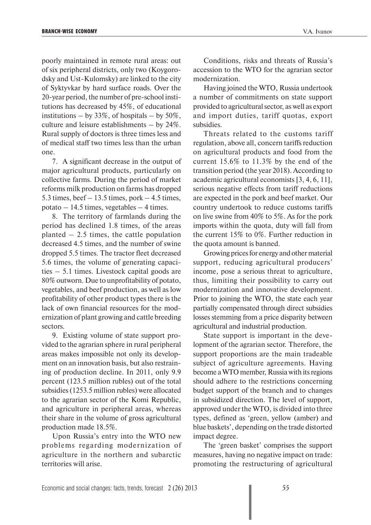poorly maintained in remote rural areas: out of six peripheral districts, only two (Koygorodsky and Ust-Kulomsky) are linked to the city of Syktyvkar by hard surface roads. Over the 20-year period, the number of pre-school institutions has decreased by 45%, of educational institutions – by 33%, of hospitals – by 50%, culture and leisure establishments – by 24%. Rural supply of doctors is three times less and of medical staff two times less than the urban one.

7. A significant decrease in the output of major agricultural products, particularly on collective farms. During the period of market reforms milk production on farms has dropped 5.3 times, beef  $-13.5$  times, pork  $-4.5$  times, potato  $-14.5$  times, vegetables  $-4$  times.

8. The territory of farmlands during the period has declined 1.8 times, of the areas planted  $-2.5$  times, the cattle population decreased 4.5 times, and the number of swine dropped 5.5 times. The tractor fleet decreased 5.6 times, the volume of generating capacities – 5.1 times. Livestock capital goods are 80% outworn. Due to unprofitability of potato, vegetables, and beef production, as well as low profitability of other product types there is the lack of own financial resources for the modernization of plant growing and cattle breeding sectors.

9. Existing volume of state support provided to the agrarian sphere in rural peripheral areas makes impossible not only its development on an innovation basis, but also restraining of production decline. In 2011, only 9.9 percent (123.5 million rubles) out of the total subsidies (1253.5 million rubles) were allocated to the agrarian sector of the Komi Republic, and agriculture in peripheral areas, whereas their share in the volume of gross agricultural production made 18.5%.

Upon Russia's entry into the WTO new problems regarding modernization of agriculture in the northern and subarctic territories will arise.

Conditions, risks and threats of Russia's accession to the WTO for the agrarian sector modernization.

Having joined the WTO, Russia undertook a number of commitments on state support provided to agricultural sector, as well as export and import duties, tariff quotas, export subsidies.

Threats related to the customs tariff regulation, above all, concern tariffs reduction on agricultural products and food from the current 15.6% to 11.3% by the end of the transition period (the year 2018). According to academic agricultural economists [3, 4, 6, 11], serious negative effects from tariff reductions are expected in the pork and beef market. Our country undertook to reduce customs tariffs on live swine from 40% to 5%. As for the pork imports within the quota, duty will fall from the current 15% to 0%. Further reduction in the quota amount is banned.

Growing prices for energy and other material support, reducing agricultural producers' income, pose a serious threat to agriculture, thus, limiting their possibility to carry out modernization and innovative development. Prior to joining the WTO, the state each year partially compensated through direct subsidies losses stemming from a price disparity between agricultural and industrial production.

State support is important in the development of the agrarian sector. Therefore, the support proportions are the main tradeable subject of agriculture agreements. Having become a WTO member, Russia with its regions should adhere to the restrictions concerning budget support of the branch and to changes in subsidized direction. The level of support, approved under the WTO, is divided into three types, defined as 'green, yellow (amber) and blue baskets', depending on the trade distorted impact degree.

The 'green basket' comprises the support measures, having no negative impact on trade: promoting the restructuring of agricultural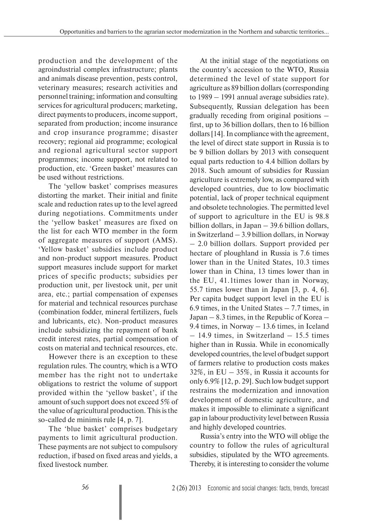production and the development of the agroindustrial complex infrastructure; plants and animals disease prevention, pests control, veterinary measures; research activities and personnel training; information and consulting services for agricultural producers; marketing, direct payments to producers, income support, separated from production; income insurance and crop insurance programme; disaster recovery; regional aid programme; ecological and regional agricultural sector support programmes; income support, not related to production, etc. 'Green basket' measures can be used without restrictions.

The 'yellow basket' comprises measures distorting the market. Their initial and finite scale and reduction rates up to the level agreed during negotiations. Commitments under the 'yellow basket' measures are fixed on the list for each WTO member in the form of aggregate measures of support (AMS). 'Yellow basket' subsidies include product and non-product support measures. Product support measures include support for market prices of specific products; subsidies per production unit, per livestock unit, per unit area, etc.; partial compensation of expenses for material and technical resources purchase (combination fodder, mineral fertilizers, fuels and lubricants, etc). Non-product measures include subsidizing the repayment of bank credit interest rates, partial compensation of costs on material and technical resources, etc.

However there is an exception to these regulation rules. The country, which is a WTO member has the right not to undertake obligations to restrict the volume of support provided within the 'yellow basket', if the amount of such support does not exceed 5% of the value of agricultural production. This is the so-called de minimis rule [4, p. 7].

The 'blue basket' comprises budgetary payments to limit agricultural production. These payments are not subject to compulsory reduction, if based on fixed areas and yields, a fixed livestock number.

At the initial stage of the negotiations on the country's accession to the WTO, Russia determined the level of state support for agriculture as 89 billion dollars (corresponding to 1989 – 1991 annual average subsidies rate). Subsequently, Russian delegation has been gradually receding from original positions – first, up to 36 billion dollars, then to 16 billion dollars [14]. In compliance with the agreement, the level of direct state support in Russia is to be 9 billion dollars by 2013 with consequent equal parts reduction to 4.4 billion dollars by 2018. Such amount of subsidies for Russian agriculture is extremely low, as compared with developed countries, due to low bioclimatic potential, lack of proper technical equipment and obsolete technologies. The permitted level of support to agriculture in the EU is 98.8 billion dollars, in Japan – 39.6 billion dollars, in Switzerland – 3.9 billion dollars, in Norway – 2.0 billion dollars. Support provided per hectare of ploughland in Russia is 7.6 times lower than in the United States, 10.3 times lower than in China, 13 times lower than in the EU, 41.1times lower than in Norway, 55.7 times lower than in Japan [3, p. 4, 6]. Per capita budget support level in the EU is 6.9 times, in the United States – 7.7 times, in Japan – 8.3 times, in the Republic of Korea – 9.4 times, in Norway – 13.6 times, in Iceland – 14.9 times, in Switzerland – 15.5 times higher than in Russia. While in economically developed countries, the level of budget support of farmers relative to production costs makes 32%, in EU – 35%, in Russia it accounts for only 6.9% [12, p. 29]. Such low budget support restrains the modernization and innovation development of domestic agriculture, and makes it impossible to eliminate a significant gap in labour productivity level between Russia and highly developed countries.

Russia's entry into the WTO will oblige the country to follow the rules of agricultural subsidies, stipulated by the WTO agreements. Thereby, it is interesting to consider the volume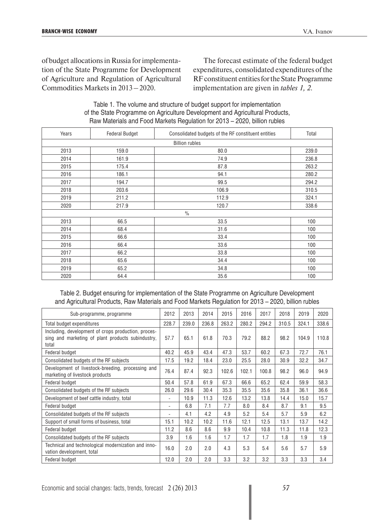of budget allocations in Russia for implementation of the State Programme for Development of Agriculture and Regulation of Agricultural Commodities Markets in 2013 – 2020.

The forecast estimate of the federal budget expenditures, consolidated expenditures of the RF constituent entities for the State Programme implementation are given in *tables 1, 2*.

| Table 1. The volume and structure of budget support for implementation       |
|------------------------------------------------------------------------------|
| of the State Programme on Agriculture Development and Agricultural Products, |
| Raw Materials and Food Markets Regulation for 2013 - 2020, billion rubles    |

| Years                 | <b>Federal Budget</b> | Consolidated budgets of the RF constituent entities | Total |  |  |  |  |  |
|-----------------------|-----------------------|-----------------------------------------------------|-------|--|--|--|--|--|
| <b>Billion rubles</b> |                       |                                                     |       |  |  |  |  |  |
| 2013                  | 159.0                 | 80.0                                                | 239.0 |  |  |  |  |  |
| 2014                  | 161.9                 | 74.9                                                | 236.8 |  |  |  |  |  |
| 2015                  | 175.4                 | 87.8                                                | 263.2 |  |  |  |  |  |
| 2016                  | 186.1                 | 94.1                                                | 280.2 |  |  |  |  |  |
| 2017                  | 194.7                 | 99.5                                                | 294.2 |  |  |  |  |  |
| 2018                  | 203.6                 | 106.9                                               | 310.5 |  |  |  |  |  |
| 2019                  | 211.2                 | 112.9                                               | 324.1 |  |  |  |  |  |
| 2020                  | 217.9                 | 120.7                                               | 338.6 |  |  |  |  |  |
| $\frac{0}{0}$         |                       |                                                     |       |  |  |  |  |  |
| 2013                  | 66.5                  | 33.5                                                | 100   |  |  |  |  |  |
| 2014                  | 68.4                  | 31.6                                                | 100   |  |  |  |  |  |
| 2015                  | 66.6                  | 33.4                                                | 100   |  |  |  |  |  |
| 2016                  | 66.4                  | 33.6                                                | 100   |  |  |  |  |  |
| 2017                  | 66.2                  | 33.8                                                | 100   |  |  |  |  |  |
| 2018                  | 65.6                  | 34.4                                                | 100   |  |  |  |  |  |
| 2019                  | 65.2                  | 34.8                                                | 100   |  |  |  |  |  |
| 2020                  | 64.4                  | 35.6                                                | 100   |  |  |  |  |  |

Table 2. Budget ensuring for implementation of the State Programme on Agriculture Development and Agricultural Products, Raw Materials and Food Markets Regulation for 2013 – 2020, billion rubles

| Sub-programme, programme                                                                                          | 2012                     | 2013  | 2014  | 2015  | 2016  | 2017  | 2018  | 2019  | 2020  |
|-------------------------------------------------------------------------------------------------------------------|--------------------------|-------|-------|-------|-------|-------|-------|-------|-------|
| Total budget expenditures                                                                                         | 228.7                    | 239.0 | 236.8 | 263.2 | 280.2 | 294.2 | 310.5 | 324.1 | 338.6 |
| Including, development of crops production, proces-<br>sing and marketing of plant products subindustry,<br>total | 57.7                     | 65.1  | 61.8  | 70.3  | 79.2  | 88.2  | 98.2  | 104.9 | 110.8 |
| Federal budget                                                                                                    | 40.2                     | 45.9  | 43.4  | 47.3  | 53.7  | 60.2  | 67.3  | 72.7  | 76.1  |
| Consolidated budgets of the RF subjects                                                                           | 17.5                     | 19.2  | 18.4  | 23.0  | 25.5  | 28.0  | 30.9  | 32.2  | 34.7  |
| Development of livestock-breeding, processing and<br>marketing of livestock products                              | 76.4                     | 87.4  | 92.3  | 102.6 | 102.1 | 100.8 | 98.2  | 96.0  | 94.9  |
| Federal budget                                                                                                    | 50.4                     | 57.8  | 61.9  | 67.3  | 66.6  | 65.2  | 62.4  | 59.9  | 58.3  |
| Consolidated budgets of the RF subjects                                                                           | 26.0                     | 29.6  | 30.4  | 35.3  | 35.5  | 35.6  | 35.8  | 36.1  | 36.6  |
| Development of beef cattle industry, total                                                                        |                          | 10.9  | 11.3  | 12.6  | 13.2  | 13.8  | 14.4  | 15.0  | 15.7  |
| Federal budget                                                                                                    | $\overline{\phantom{a}}$ | 6.8   | 7.1   | 7.7   | 8.0   | 8.4   | 8.7   | 9.1   | 9.5   |
| Consolidated budgets of the RF subjects                                                                           |                          | 4.1   | 4.2   | 4.9   | 5.2   | 5.4   | 5.7   | 5.9   | 6.2   |
| Support of small forms of business, total                                                                         | 15.1                     | 10.2  | 10.2  | 11.6  | 12.1  | 12.5  | 13.1  | 13.7  | 14.2  |
| Federal budget                                                                                                    | 11.2                     | 8.6   | 8.6   | 9.9   | 10.4  | 10.8  | 11.3  | 11.8  | 12.3  |
| Consolidated budgets of the RF subjects                                                                           | 3.9                      | 1.6   | 1.6   | 1.7   | 1.7   | 1.7   | 1.8   | 1.9   | 1.9   |
| Technical and technological modernization and inno-<br>vation development, total                                  | 16.0                     | 2.0   | 2.0   | 4.3   | 5.3   | 5.4   | 5.6   | 5.7   | 5.9   |
| Federal budget                                                                                                    | 12.0                     | 2.0   | 2.0   | 3.3   | 3.2   | 3.2   | 3.3   | 3.3   | 3.4   |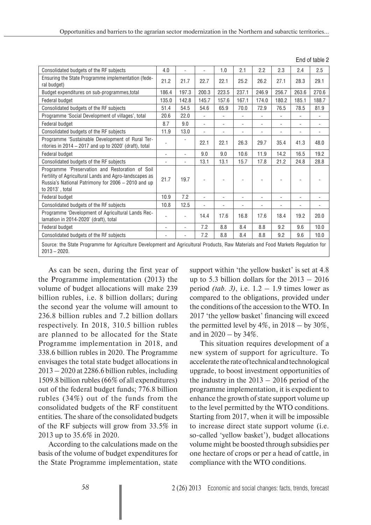| Consolidated budgets of the RF subjects                                                                                                                                            | 4.0                      |                          | ÷,             | 1.0                      | 2.1                      | 2.2            | 2.3                      | 2.4                          | 2.5                      |
|------------------------------------------------------------------------------------------------------------------------------------------------------------------------------------|--------------------------|--------------------------|----------------|--------------------------|--------------------------|----------------|--------------------------|------------------------------|--------------------------|
| Ensuring the State Programme implementation (fede-<br>ral budget)                                                                                                                  | 21.2                     | 21.7                     | 22.7           | 22.1                     | 25.2                     | 26.2           | 27.1                     | 28.3                         | 29.1                     |
| Budget expenditures on sub-programmes, total                                                                                                                                       | 186.4                    | 197.3                    | 200.3          | 223.5                    | 237.1                    | 246.9          | 256.7                    | 263.6                        | 270.6                    |
| Federal budget                                                                                                                                                                     | 135.0                    | 142.8                    | 145.7          | 157.6                    | 167.1                    | 174.0          | 180.2                    | 185.1                        | 188.7                    |
| Consolidated budgets of the RF subjects                                                                                                                                            | 51.4                     | 54.5                     | 54.6           | 65.9                     | 70.0                     | 72.9           | 76.5                     | 78.5                         | 81.9                     |
| Programme 'Social Development of villages', total                                                                                                                                  | 20.6                     | 22.0                     | $\overline{a}$ | $\overline{a}$           | L.                       | $\overline{a}$ | $\overline{a}$           | L.                           | $\overline{a}$           |
| Federal budget                                                                                                                                                                     | 8.7                      | 9.0                      | $\overline{a}$ | ٠                        | $\overline{\phantom{a}}$ |                | $\overline{\phantom{0}}$ | $\qquad \qquad \blacksquare$ | $\overline{\phantom{a}}$ |
| Consolidated budgets of the RF subjects                                                                                                                                            | 11.9                     | 13.0                     | L,             | $\overline{\phantom{a}}$ | $\overline{\phantom{a}}$ |                | $\overline{\phantom{a}}$ | L,                           | $\overline{\phantom{a}}$ |
| Programme 'Sustainable Development of Rural Ter-<br>ritories in 2014 – 2017 and up to 2020' (draft), total                                                                         | $\overline{\phantom{a}}$ | $\overline{\phantom{a}}$ | 22.1           | 22.1                     | 26.3                     | 29.7           | 35.4                     | 41.3                         | 48.0                     |
| Federal budget                                                                                                                                                                     | $\overline{\phantom{a}}$ | ٠                        | 9.0            | 9.0                      | 10.6                     | 11.9           | 14.2                     | 16.5                         | 19.2                     |
| Consolidated budgets of the RF subjects                                                                                                                                            | $\overline{\phantom{a}}$ | $\overline{\phantom{a}}$ | 13.1           | 13.1                     | 15.7                     | 17.8           | 21.2                     | 24.8                         | 28.8                     |
| Programme 'Preservation and Restoration of Soil<br>Fertility of Agricultural Lands and Agro-landscapes as<br>Russia's National Patrimony for 2006 - 2010 and up<br>to 2013', total | 21.7                     | 19.7                     |                |                          |                          |                |                          |                              |                          |
| Federal budget                                                                                                                                                                     | 10.9                     | 7.2                      | L,             |                          |                          |                |                          |                              |                          |
| Consolidated budgets of the RF subjects                                                                                                                                            | 10.8                     | 12.5                     | ۰              |                          |                          |                |                          |                              |                          |
| Programme 'Development of Agricultural Lands Rec-<br>lamation in 2014-2020' (draft), total                                                                                         | $\overline{\phantom{a}}$ | $\overline{a}$           | 14.4           | 17.6                     | 16.8                     | 17.6           | 18.4                     | 19.2                         | 20.0                     |
| Federal budget                                                                                                                                                                     | L,                       | $\overline{a}$           | 7.2            | 8.8                      | 8.4                      | 8.8            | 9.2                      | 9.6                          | 10.0                     |
| Consolidated budgets of the RF subjects                                                                                                                                            |                          |                          | 7.2            | 8.8                      | 8.4                      | 8.8            | 9.2                      | 9.6                          | 10.0                     |
| Source: the State Programme for Agriculture Development and Agricultural Products, Raw Materials and Food Markets Regulation for<br>$2013 - 2020$ .                                |                          |                          |                |                          |                          |                |                          |                              |                          |

As can be seen, during the first year of the Programme implementation (2013) the volume of budget allocations will make 239 billion rubles, i.e. 8 billion dollars; during the second year the volume will amount to 236.8 billion rubles and 7.2 billion dollars respectively. In 2018, 310.5 billion rubles are planned to be allocated for the State Programme implementation in 2018, and 338.6 billion rubles in 2020. The Programme envisages the total state budget allocations in 2013 – 2020 at 2286.6 billion rubles, including 1509.8 billion rubles (66% of all expenditures) out of the federal budget funds; 776.8 billion rubles (34%) out of the funds from the consolidated budgets of the RF constituent entities. The share of the consolidated budgets of the RF subjects will grow from 33.5% in 2013 up to 35.6% in 2020.

According to the calculations made on the basis of the volume of budget expenditures for the State Programme implementation, state support within 'the yellow basket' is set at 4.8 up to 5.3 billion dollars for the  $2013 - 2016$ period *(tab. 3)*, i.e.  $1.2 - 1.9$  times lower as compared to the obligations, provided under the conditions of the accession to the WTO. In 2017 'the yellow basket' financing will exceed the permitted level by  $4\%$ , in  $2018 -$  by  $30\%$ , and in 2020 – by 34%.

End of table 2

This situation requires development of a new system of support for agriculture. To accelerate the rate of technical and technological upgrade, to boost investment opportunities of the industry in the  $2013 - 2016$  period of the programme implementation, it is expedient to enhance the growth of state support volume up to the level permitted by the WTO conditions. Starting from 2017, when it will be impossible to increase direct state support volume (i.e. so-called 'yellow basket'), budget allocations volume might be boosted through subsidies per one hectare of crops or per a head of cattle, in compliance with the WTO conditions.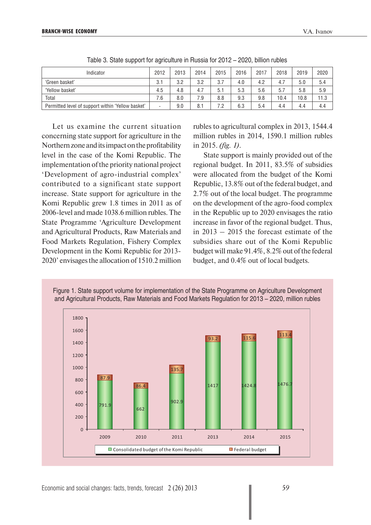| Indicator                                         | 2012 | 2013 | 2014 | 2015 | 2016 | 2017 | 2018 | 2019 | 2020 |
|---------------------------------------------------|------|------|------|------|------|------|------|------|------|
| 'Green basket'                                    | 3.1  | 3.2  | 3.2  | 3.7  | 4.0  | 4.2  | 4.7  | 5.0  | 5.4  |
| 'Yellow basket'                                   | 4.5  | 4.8  | 4.7  | 5.1  | 5.3  | 5.6  | 5.7  | 5.8  | 5.9  |
| Total                                             | 7.6  | 8.0  | 7.9  | 8.8  | 9.3  | 9.8  | 10.4 | 10.8 | 11.3 |
| Permitted level of support within 'Yellow basket' |      | 9.0  | 8.1  | 7.2  | 6.3  | 5.4  | 4.4  | 4.4  | 4.4  |

Table 3. State support for agriculture in Russia for 2012 – 2020, billion rubles

Let us examine the current situation concerning state support for agriculture in the Northern zone and its impact on the profitability level in the case of the Komi Republic. The implementation of the priority national project 'Development of agro-industrial complex' contributed to a significant state support increase. State support for agriculture in the Komi Republic grew 1.8 times in 2011 as of 2006-level and made 1038.6 million rubles. The State Programme 'Agriculture Development and Agricultural Products, Raw Materials and Food Markets Regulation, Fishery Complex Development in the Komi Republic for 2013- 2020' envisages the allocation of 1510.2 million

rubles to agricultural complex in 2013, 1544.4 million rubles in 2014, 1590.1 million rubles in 2015. *(fig. 1)*.

State support is mainly provided out of the regional budget. In 2011, 83.5% of subsidies were allocated from the budget of the Komi Republic, 13.8% out of the federal budget, and 2.7% out of the local budget. The programme on the development of the agro-food complex in the Republic up to 2020 envisages the ratio increase in favor of the regional budget. Thus, in 2013 – 2015 the forecast estimate of the subsidies share out of the Komi Republic budget will make 91.4%, 8.2% out of the federal budget, and 0.4% out of local budgets.



Figure 1. State support volume for implementation of the State Programme on Agriculture Development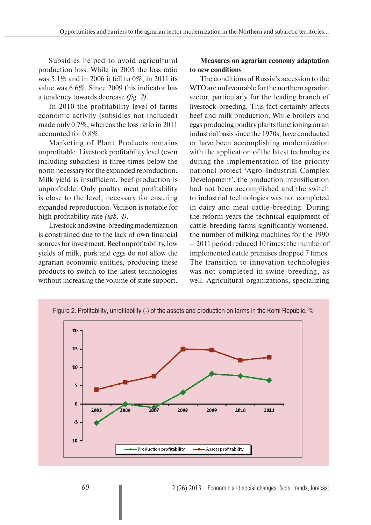Subsidies helped to avoid agricultural production loss. While in 2005 the loss ratio was 5.1% and in 2006 it fell to 0%, in 2011 its value was 6.6%. Since 2009 this indicator has a tendency towards decrease *(fig. 2)*.

In 2010 the profitability level of farms economic activity (subsidies not included) made only 0.7%, whereas the loss ratio in 2011 accounted for 0.8%.

Marketing of Plant Products remains unprofitable. Livestock profitability level (even including subsidies) is three times below the norm necessary for the expanded reproduction. Milk yield is insufficient, beef production is unprofitable. Only poultry meat profitability is close to the level, necessary for ensuring expanded reproduction. Venison is notable for high profitability rate *(tab. 4)*.

Livestock and swine-breeding modernization is constrained due to the lack of own financial sources for investment. Beef unprofitability, low yields of milk, pork and eggs do not allow the agrarian economic entities, producing these products to switch to the latest technologies without increasing the volume of state support.

## **Measures on agrarian economy adaptation to new conditions**

The conditions of Russia's accession to the WTO are unfavourable for the northern agrarian sector, particularly for the leading branch of livestock-breeding. This fact certainly affects beef and milk production. While broilers and eggs producing poultry plants functioning on an industrial basis since the 1970s, have conducted or have been accomplishing modernization with the application of the latest technologies during the implementation of the priority national project 'Agro-Industrial Complex Development', the production intensification had not been accomplished and the switch to industrial technologies was not completed in dairy and meat cattle-breeding. During the reform years the technical equipment of cattle-breeding farms significantly worsened, the number of milking machines for the 1990 – 2011 period reduced 10 times; the number of implemented cattle premises dropped 7 times. The transition to innovation technologies was not completed in swine-breeding, as well. Agricultural organizations, specializing

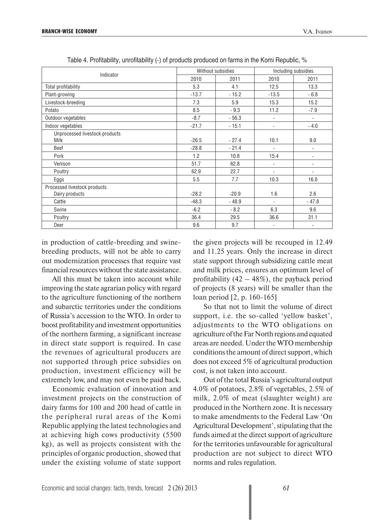| Indicator                      |         | Without subsidies | Including subsidies      |                          |  |
|--------------------------------|---------|-------------------|--------------------------|--------------------------|--|
|                                | 2010    | 2011              | 2010                     | 2011                     |  |
| Total profitability            | 5.3     | 4.1               | 12.5                     | 13.3                     |  |
| Plant-growing                  | $-13.7$ | $-15.2$           | $-13.5$                  | $-6.8$                   |  |
| Livestock-breeding             | 7.3     | 5.9               | 15.3                     | 15.2                     |  |
| Potato                         | 8.5     | $-9.3$            | 11.2                     | $-7.9$                   |  |
| Outdoor vegetables             | $-8.7$  | $-56.3$           | $\overline{\phantom{a}}$ | $\overline{\phantom{a}}$ |  |
| Indoor vegetables              | $-21.7$ | $-15.1$           | $\overline{\phantom{0}}$ | $-4.0$                   |  |
| Unprocessed livestock products |         |                   |                          |                          |  |
| Milk                           | $-26.5$ | $-27.4$           | 10.1                     | 9.0                      |  |
| Beef                           | $-28.8$ | $-21.4$           | $\overline{\phantom{a}}$ | $\overline{\phantom{a}}$ |  |
| Pork                           | 1.2     | 10.8              | 15.4                     | $\overline{\phantom{0}}$ |  |
| Venison                        | 51.7    | 62.8              | $\overline{\phantom{a}}$ | $\overline{\phantom{0}}$ |  |
| Poultry                        | 62.9    | 22.7              |                          |                          |  |
| Eggs                           | 5.5     | 7.7               | 10.3                     | 16.0                     |  |
| Processed livestock products   |         |                   |                          |                          |  |
| Dairy products                 | $-28.2$ | $-20.9$           | 1.6                      | 2.6                      |  |
| Cattle                         | $-48.3$ | $-48.9$           |                          | $-47.8$                  |  |
| Swine                          | $-6.2$  | $-8.2$            | 6.3                      | 9.6                      |  |
| Poultry                        | 36.4    | 29.5              | 36.6                     | 31.1                     |  |
| Deer                           | 9.6     | 9.7               | $\overline{\phantom{a}}$ | ٠                        |  |

Table 4. Profitability, unrofitability (-) of products produced on farms in the Komi Republic, %

in production of cattle-breeding and swinebreeding products, will not be able to carry out modernization processes that require vast financial resources without the state assistance.

All this must be taken into account while improving the state agrarian policy with regard to the agriculture functioning of the northern and subarctic territories under the conditions of Russia's accession to the WTO. In order to boost profitability and investment opportunities of the northern farming, a significant increase in direct state support is required. In case the revenues of agricultural producers are not supported through price subsidies on production, investment efficiency will be extremely low, and may not even be paid back.

Economic evaluation of innovation and investment projects on the construction of dairy farms for 100 and 200 head of cattle in the peripheral rural areas of the Komi Republic applying the latest technologies and at achieving high cows productivity (5500 kg), as well as projects consistent with the principles of organic production, showed that under the existing volume of state support

the given projects will be recouped in 12.49 and 11.25 years. Only the increase in direct state support through subsidizing cattle meat and milk prices, ensures an optimum level of profitability  $(42 - 48\%)$ , the payback period of projects (8 years) will be smaller than the loan period [2, p. 160-165]

So that not to limit the volume of direct support, i.e. the so-called 'yellow basket', adjustments to the WTO obligations on agriculture of the Far North regions and equated areas are needed. Under the WTO membership conditions the amount of direct support, which does not exceed 5% of agricultural production cost, is not taken into account.

Out of the total Russia's agricultural output 4.0% of potatoes, 2.8% of vegetables, 2.5% of milk, 2.0% of meat (slaughter weight) are produced in the Northern zone. It is necessary to make amendments to the Federal Law 'On Agricultural Development', stipulating that the funds aimed at the direct support of agriculture for the territories unfavourable for agricultural production are not subject to direct WTO norms and rules regulation.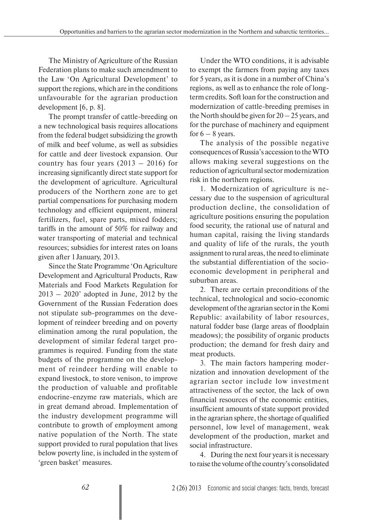The Ministry of Agriculture of the Russian Federation plans to make such amendment to the Law 'On Agricultural Development' to support the regions, which are in the conditions unfavourable for the agrarian production development [6, p. 8].

The prompt transfer of cattle-breeding on a new technological basis requires allocations from the federal budget subsidizing the growth of milk and beef volume, as well as subsidies for cattle and deer livestock expansion. Our country has four years  $(2013 - 2016)$  for increasing significantly direct state support for the development of agriculture. Agricultural producers of the Northern zone are to get partial compensations for purchasing modern technology and efficient equipment, mineral fertilizers, fuel, spare parts, mixed fodders; tariffs in the amount of 50% for railway and water transporting of material and technical resources; subsidies for interest rates on loans given after 1 January, 2013.

Since the State Programme 'On Agriculture Development and Agricultural Products, Raw Materials and Food Markets Regulation for  $2013 - 2020$ ' adopted in June, 2012 by the Government of the Russian Federation does not stipulate sub-programmes on the development of reindeer breeding and on poverty elimination among the rural population, the development of similar federal target programmes is required. Funding from the state budgets of the programme on the development of reindeer herding will enable to expand livestock, to store venison, to improve the production of valuable and profitable endocrine-enzyme raw materials, which are in great demand abroad. Implementation of the industry development programme will contribute to growth of employment among native population of the North. The state support provided to rural population that lives below poverty line, is included in the system of 'green basket' measures.

Under the WTO conditions, it is advisable to exempt the farmers from paying any taxes for 5 years, as it is done in a number of China's regions, as well as to enhance the role of longterm credits. Soft loan for the construction and modernization of cattle-breeding premises in the North should be given for  $20 - 25$  years, and for the purchase of machinery and equipment for  $6 - 8$  years.

The analysis of the possible negative consequences of Russia's accession to the WTO allows making several suggestions on the reduction of agricultural sector modernization risk in the northern regions.

1. Modernization of agriculture is necessary due to the suspension of agricultural production decline, the consolidation of agriculture positions ensuring the population food security, the rational use of natural and human capital, raising the living standards and quality of life of the rurals, the youth assignment to rural areas, the need to eliminate the substantial differentiation of the socioeconomic development in peripheral and suburban areas.

2. There are certain preconditions of the technical, technological and socio-economic development of the agrarian sector in the Komi Republic: availability of labor resources, natural fodder base (large areas of floodplain meadows); the possibility of organic products production; the demand for fresh dairy and meat products.

3. The main factors hampering modernization and innovation development of the agrarian sector include low investment attractiveness of the sector, the lack of own financial resources of the economic entities, insufficient amounts of state support provided in the agrarian sphere, the shortage of qualified personnel, low level of management, weak development of the production, market and social infrastructure.

4. During the next four years it is necessary to raise the volume of the country's consolidated